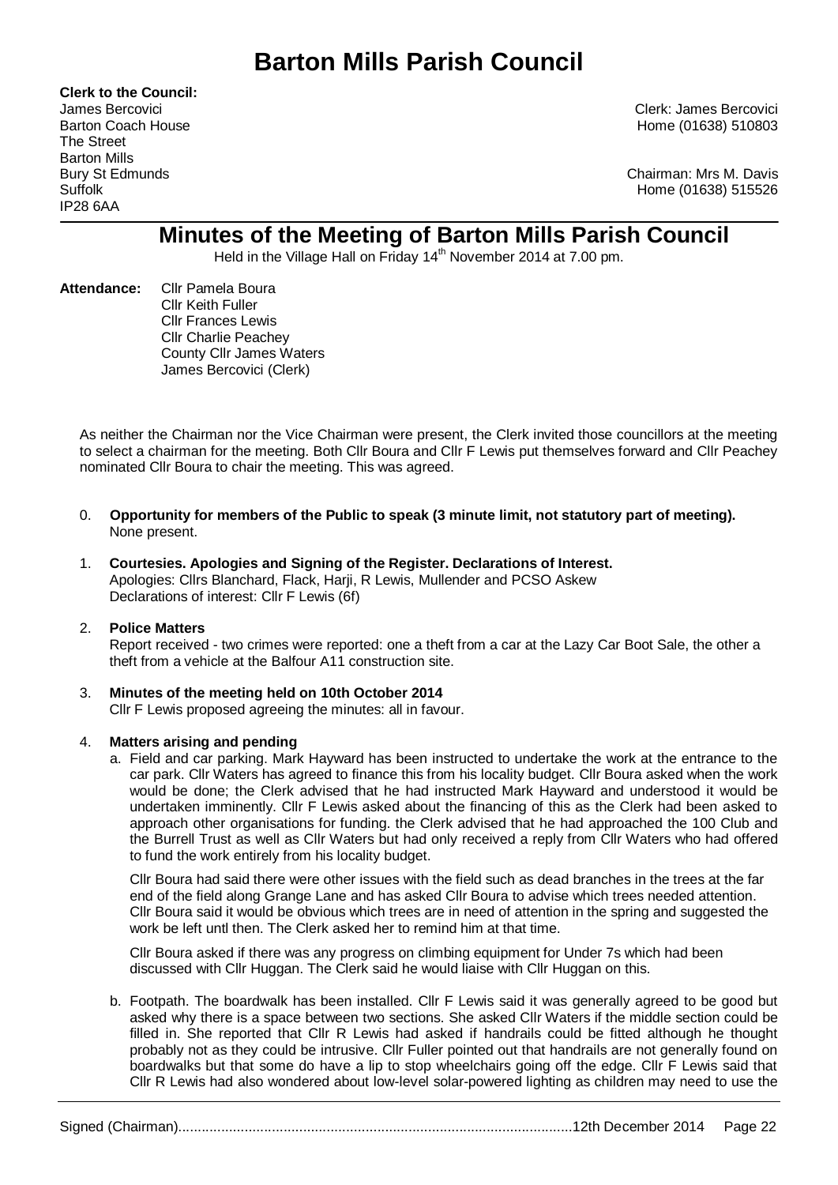# **Barton Mills Parish Council**

**Clerk to the Council:** The Street Barton Mills IP28 6AA

James Bercovici Clerk: James Bercovici Barton Coach House **Home (01638)** 510803

Bury St Edmunds Chairman: Mrs M. Davis Suffolk Home (01638) 515526

# **Minutes of the Meeting of Barton Mills Parish Council**

Held in the Village Hall on Friday 14<sup>th</sup> November 2014 at 7.00 pm.

**Attendance:** Cllr Pamela Boura Cllr Keith Fuller Cllr Frances Lewis Cllr Charlie Peachey County Cllr James Waters James Bercovici (Clerk)

As neither the Chairman nor the Vice Chairman were present, the Clerk invited those councillors at the meeting to select a chairman for the meeting. Both Cllr Boura and Cllr F Lewis put themselves forward and Cllr Peachey nominated Cllr Boura to chair the meeting. This was agreed.

- 0. **Opportunity for members of the Public to speak (3 minute limit, not statutory part of meeting).**  None present.
- 1. **Courtesies. Apologies and Signing of the Register. Declarations of Interest.** Apologies: Cllrs Blanchard, Flack, Harji, R Lewis, Mullender and PCSO Askew Declarations of interest: Cllr F Lewis (6f)

# 2. **Police Matters**

Report received - two crimes were reported: one a theft from a car at the Lazy Car Boot Sale, the other a theft from a vehicle at the Balfour A11 construction site.

# 3. **Minutes of the meeting held on 10th October 2014**

Cllr F Lewis proposed agreeing the minutes: all in favour.

#### 4. **Matters arising and pending**

a. Field and car parking. Mark Hayward has been instructed to undertake the work at the entrance to the car park. Cllr Waters has agreed to finance this from his locality budget. Cllr Boura asked when the work would be done; the Clerk advised that he had instructed Mark Hayward and understood it would be undertaken imminently. Cllr F Lewis asked about the financing of this as the Clerk had been asked to approach other organisations for funding. the Clerk advised that he had approached the 100 Club and the Burrell Trust as well as Cllr Waters but had only received a reply from Cllr Waters who had offered to fund the work entirely from his locality budget.

Cllr Boura had said there were other issues with the field such as dead branches in the trees at the far end of the field along Grange Lane and has asked Cllr Boura to advise which trees needed attention. Cllr Boura said it would be obvious which trees are in need of attention in the spring and suggested the work be left untl then. The Clerk asked her to remind him at that time.

Cllr Boura asked if there was any progress on climbing equipment for Under 7s which had been discussed with Cllr Huggan. The Clerk said he would liaise with Cllr Huggan on this.

b. Footpath. The boardwalk has been installed. Cllr F Lewis said it was generally agreed to be good but asked why there is a space between two sections. She asked Cllr Waters if the middle section could be filled in. She reported that Cllr R Lewis had asked if handrails could be fitted although he thought probably not as they could be intrusive. Cllr Fuller pointed out that handrails are not generally found on boardwalks but that some do have a lip to stop wheelchairs going off the edge. Cllr F Lewis said that Cllr R Lewis had also wondered about low-level solar-powered lighting as children may need to use the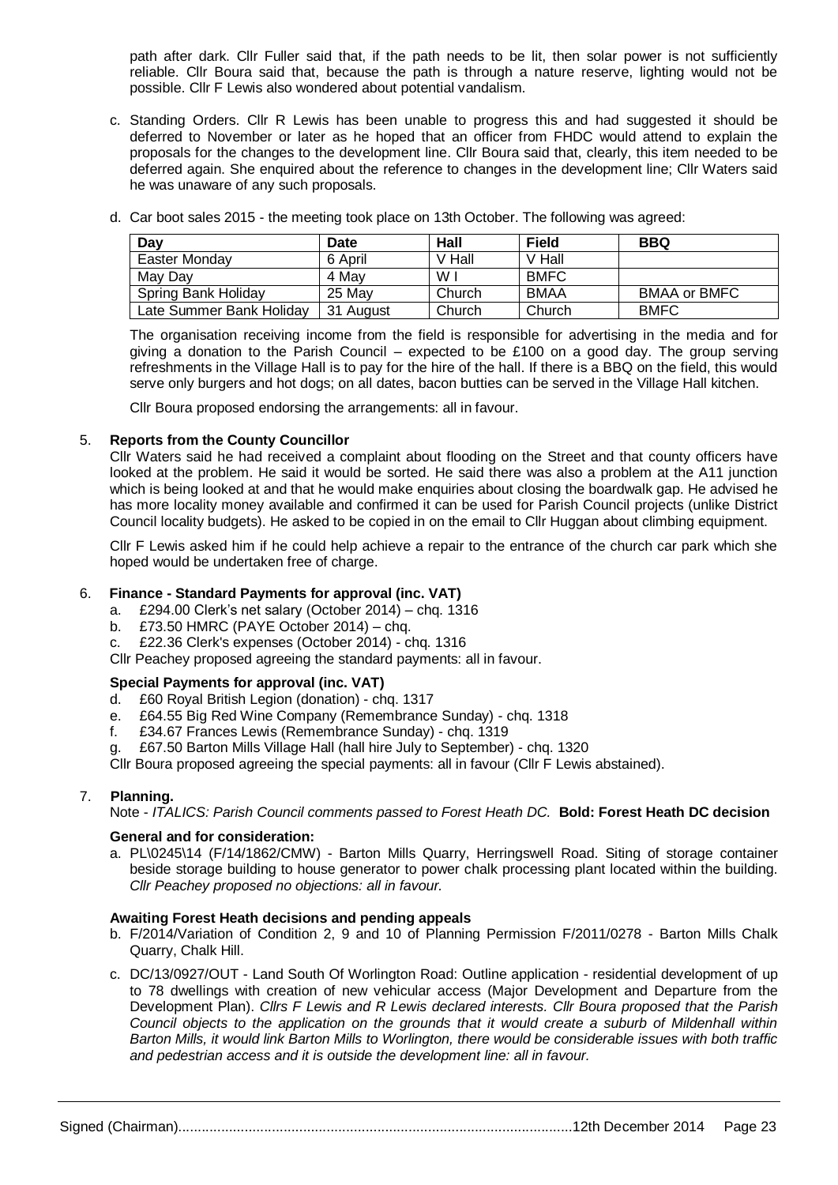path after dark. Cllr Fuller said that, if the path needs to be lit, then solar power is not sufficiently reliable. Cllr Boura said that, because the path is through a nature reserve, lighting would not be possible. Cllr F Lewis also wondered about potential vandalism.

c. Standing Orders. Cllr R Lewis has been unable to progress this and had suggested it should be deferred to November or later as he hoped that an officer from FHDC would attend to explain the proposals for the changes to the development line. Cllr Boura said that, clearly, this item needed to be deferred again. She enquired about the reference to changes in the development line; Cllr Waters said he was unaware of any such proposals.

| Day                      | Date      | Hall   | <b>Field</b> | <b>BBQ</b>          |
|--------------------------|-----------|--------|--------------|---------------------|
| Easter Monday            | 6 April   | V Hall | V Hall       |                     |
| May Day                  | 4 May     | W      | <b>BMFC</b>  |                     |
| Spring Bank Holiday      | 25 May    | Church | BMAA         | <b>BMAA or BMFC</b> |
| Late Summer Bank Holiday | 31 August | Church | Church       | <b>BMFC</b>         |

d. Car boot sales 2015 - the meeting took place on 13th October. The following was agreed:

The organisation receiving income from the field is responsible for advertising in the media and for giving a donation to the Parish Council – expected to be £100 on a good day. The group serving refreshments in the Village Hall is to pay for the hire of the hall. If there is a BBQ on the field, this would serve only burgers and hot dogs; on all dates, bacon butties can be served in the Village Hall kitchen.

Cllr Boura proposed endorsing the arrangements: all in favour.

#### 5. **Reports from the County Councillor**

Cllr Waters said he had received a complaint about flooding on the Street and that county officers have looked at the problem. He said it would be sorted. He said there was also a problem at the A11 junction which is being looked at and that he would make enquiries about closing the boardwalk gap. He advised he has more locality money available and confirmed it can be used for Parish Council projects (unlike District Council locality budgets). He asked to be copied in on the email to Cllr Huggan about climbing equipment.

Cllr F Lewis asked him if he could help achieve a repair to the entrance of the church car park which she hoped would be undertaken free of charge.

#### 6. **Finance - Standard Payments for approval (inc. VAT)**

- a. £294.00 Clerk's net salary (October 2014) chq. 1316
- b. £73.50 HMRC (PAYE October 2014) chq.
- c. £22.36 Clerk's expenses (October 2014) chq. 1316
- Cllr Peachey proposed agreeing the standard payments: all in favour.

#### **Special Payments for approval (inc. VAT)**

- d. £60 Royal British Legion (donation) chq. 1317
- e. £64.55 Big Red Wine Company (Remembrance Sunday) chq. 1318
- f. £34.67 Frances Lewis (Remembrance Sunday) chq. 1319
- g. £67.50 Barton Mills Village Hall (hall hire July to September) chq. 1320

Cllr Boura proposed agreeing the special payments: all in favour (Cllr F Lewis abstained).

# 7. **Planning.**

Note - *ITALICS: Parish Council comments passed to Forest Heath DC.* **Bold: Forest Heath DC decision**

#### **General and for consideration:**

a. PL\0245\14 (F/14/1862/CMW) - Barton Mills Quarry, Herringswell Road. Siting of storage container beside storage building to house generator to power chalk processing plant located within the building. *Cllr Peachey proposed no objections: all in favour.*

#### **Awaiting Forest Heath decisions and pending appeals**

- b. F/2014/Variation of Condition 2, 9 and 10 of Planning Permission F/2011/0278 Barton Mills Chalk Quarry, Chalk Hill.
- c. DC/13/0927/OUT Land South Of Worlington Road: Outline application residential development of up to 78 dwellings with creation of new vehicular access (Major Development and Departure from the Development Plan). *Cllrs F Lewis and R Lewis declared interests. Cllr Boura proposed that the Parish Council objects to the application on the grounds that it would create a suburb of Mildenhall within Barton Mills, it would link Barton Mills to Worlington, there would be considerable issues with both traffic and pedestrian access and it is outside the development line: all in favour.*